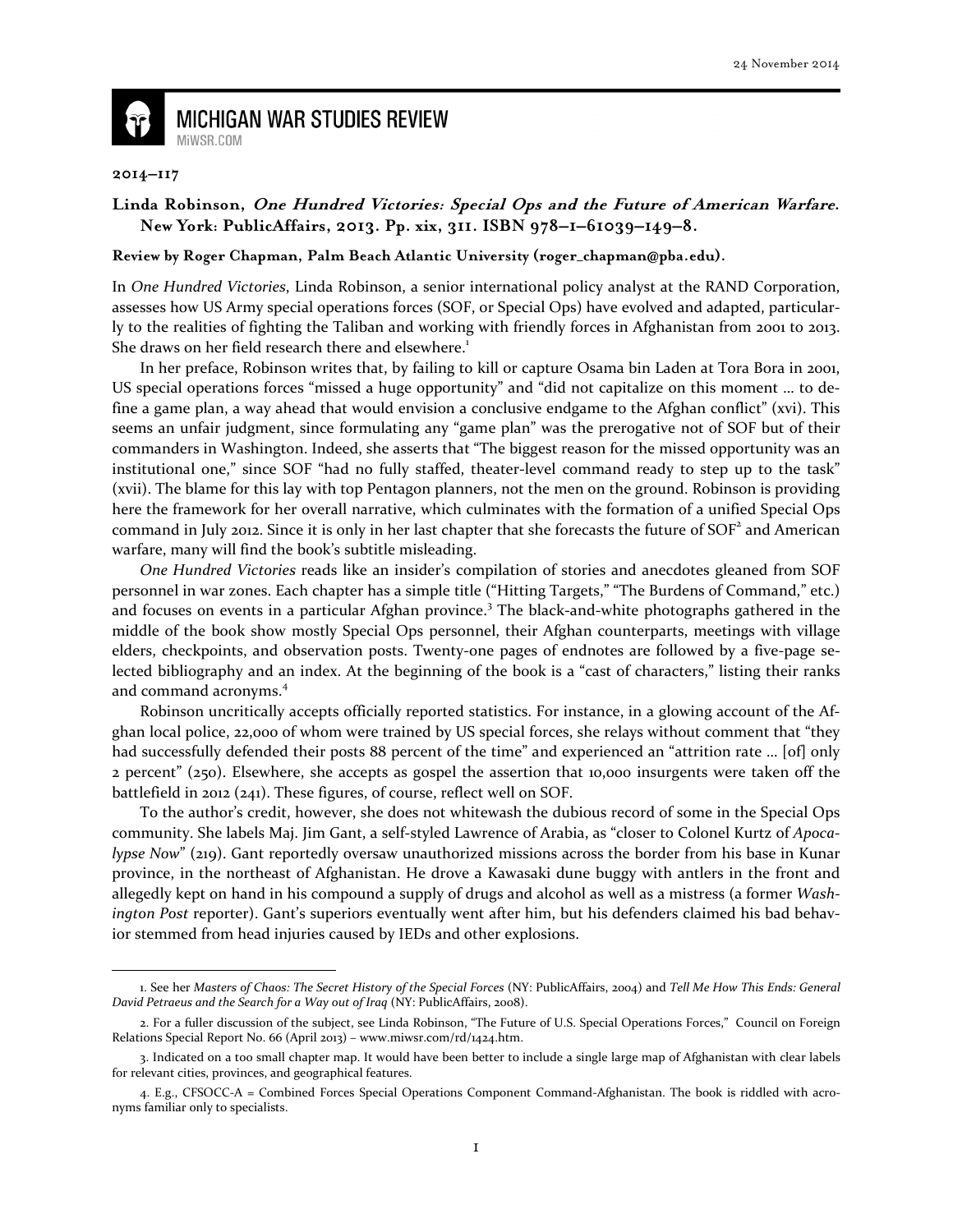

## **MICHIGAN WAR STUDIES REVIEW** MiWSR.COM

## **2014–117**

 $\overline{\phantom{0}}$ 

## **Linda Robinson, One Hundred Victories: Special Ops and the Future of American Warfare. New York: PublicAffairs, 2013. Pp. xix, 311. ISBN 978–1–61039–149–8.**

## **Review by Roger Chapman, Palm Beach Atlantic University (roger\_chapman@pba.edu).**

In One Hundred Victories, Linda Robinson, a senior international policy analyst at the RAND Corporation, assesses how US Army special operations forces (SOF, or Special Ops) have evolved and adapted, particularly to the realities of fighting the Taliban and working with friendly forces in Afghanistan from 2001 to 2013. She draws on her field research there and elsewhere.<sup>1</sup>

In her preface, Robinson writes that, by failing to kill or capture Osama bin Laden at Tora Bora in 2001, US special operations forces "missed a huge opportunity" and "did not capitalize on this moment … to define a game plan, a way ahead that would envision a conclusive endgame to the Afghan conflict" (xvi). This seems an unfair judgment, since formulating any "game plan" was the prerogative not of SOF but of their commanders in Washington. Indeed, she asserts that "The biggest reason for the missed opportunity was an institutional one," since SOF "had no fully staffed, theater-level command ready to step up to the task" (xvii). The blame for this lay with top Pentagon planners, not the men on the ground. Robinson is providing here the framework for her overall narrative, which culminates with the formation of a unified Special Ops command in July 2012. Since it is only in her last chapter that she forecasts the future of  $SOF<sup>2</sup>$  and American warfare, many will find the book's subtitle misleading.

One Hundred Victories reads like an insider's compilation of stories and anecdotes gleaned from SOF personnel in war zones. Each chapter has a simple title ("Hitting Targets," "The Burdens of Command," etc.) and focuses on events in a particular Afghan province. 3 The black-and-white photographs gathered in the middle of the book show mostly Special Ops personnel, their Afghan counterparts, meetings with village elders, checkpoints, and observation posts. Twenty-one pages of endnotes are followed by a five-page selected bibliography and an index. At the beginning of the book is a "cast of characters," listing their ranks and command acronyms.<sup>4</sup>

Robinson uncritically accepts officially reported statistics. For instance, in a glowing account of the Afghan local police, 22,000 of whom were trained by US special forces, she relays without comment that "they had successfully defended their posts 88 percent of the time" and experienced an "attrition rate ... [of] only 2 percent" (250). Elsewhere, she accepts as gospel the assertion that 10,000 insurgents were taken off the battlefield in 2012 (241). These figures, of course, reflect well on SOF.

To the author's credit, however, she does not whitewash the dubious record of some in the Special Ops community. She labels Maj. Jim Gant, a self-styled Lawrence of Arabia, as "closer to Colonel Kurtz of Apocalypse Now" (219). Gant reportedly oversaw unauthorized missions across the border from his base in Kunar province, in the northeast of Afghanistan. He drove a Kawasaki dune buggy with antlers in the front and allegedly kept on hand in his compound a supply of drugs and alcohol as well as a mistress (a former Washington Post reporter). Gant's superiors eventually went after him, but his defenders claimed his bad behavior stemmed from head injuries caused by IEDs and other explosions.

<sup>1.</sup> See her Masters of Chaos: The Secret History of the Special Forces (NY: PublicAffairs, 2004) and Tell Me How This Ends: General David Petraeus and the Search for a Way out of Iraq (NY: PublicAffairs, 2008).

<sup>2.</sup> For a fuller discussion of the subject, see Linda Robinson, "The Future of U.S. Special Operations Forces," Council on Foreign Relations Special Report No. 66 (April 2013) – www.miwsr.com/rd/1424.htm.

<sup>3.</sup> Indicated on a too small chapter map. It would have been better to include a single large map of Afghanistan with clear labels for relevant cities, provinces, and geographical features.

<sup>4.</sup> E.g., CFSOCC-A = Combined Forces Special Operations Component Command-Afghanistan. The book is riddled with acronyms familiar only to specialists.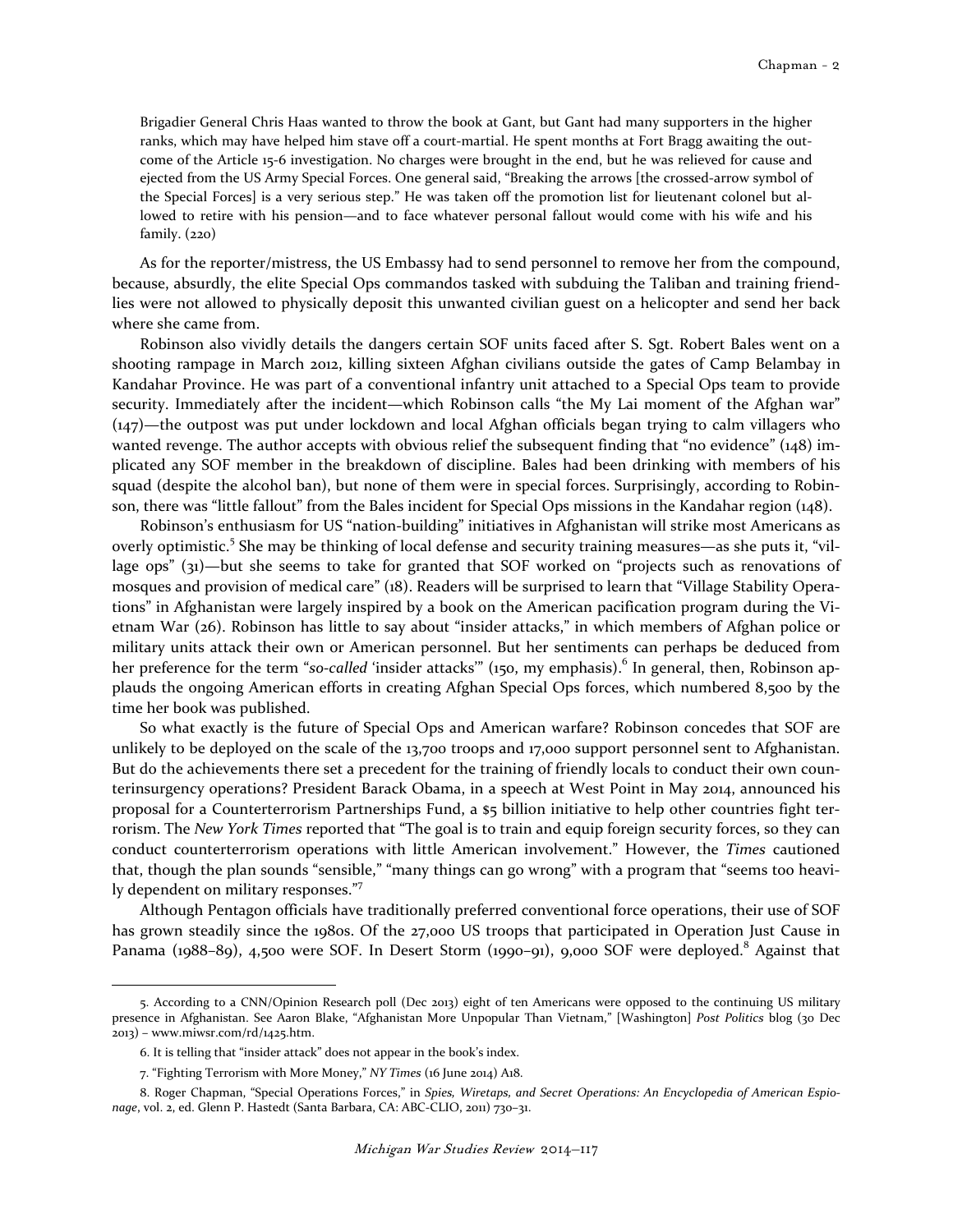Brigadier General Chris Haas wanted to throw the book at Gant, but Gant had many supporters in the higher ranks, which may have helped him stave off a court-martial. He spent months at Fort Bragg awaiting the outcome of the Article 15-6 investigation. No charges were brought in the end, but he was relieved for cause and ejected from the US Army Special Forces. One general said, "Breaking the arrows [the crossed-arrow symbol of the Special Forces] is a very serious step." He was taken off the promotion list for lieutenant colonel but allowed to retire with his pension—and to face whatever personal fallout would come with his wife and his family. (220)

As for the reporter/mistress, the US Embassy had to send personnel to remove her from the compound, because, absurdly, the elite Special Ops commandos tasked with subduing the Taliban and training friendlies were not allowed to physically deposit this unwanted civilian guest on a helicopter and send her back where she came from.

Robinson also vividly details the dangers certain SOF units faced after S. Sgt. Robert Bales went on a shooting rampage in March 2012, killing sixteen Afghan civilians outside the gates of Camp Belambay in Kandahar Province. He was part of a conventional infantry unit attached to a Special Ops team to provide security. Immediately after the incident—which Robinson calls "the My Lai moment of the Afghan war" (147)—the outpost was put under lockdown and local Afghan officials began trying to calm villagers who wanted revenge. The author accepts with obvious relief the subsequent finding that "no evidence" (148) implicated any SOF member in the breakdown of discipline. Bales had been drinking with members of his squad (despite the alcohol ban), but none of them were in special forces. Surprisingly, according to Robinson, there was "little fallout" from the Bales incident for Special Ops missions in the Kandahar region (148).

Robinson's enthusiasm for US "nation-building" initiatives in Afghanistan will strike most Americans as overly optimistic.<sup>5</sup> She may be thinking of local defense and security training measures—as she puts it, "village ops" (31)—but she seems to take for granted that SOF worked on "projects such as renovations of mosques and provision of medical care" (18). Readers will be surprised to learn that "Village Stability Operations" in Afghanistan were largely inspired by a book on the American pacification program during the Vietnam War (26). Robinson has little to say about "insider attacks," in which members of Afghan police or military units attack their own or American personnel. But her sentiments can perhaps be deduced from her preference for the term "so-called 'insider attacks'" (150, my emphasis).<sup>6</sup> In general, then, Robinson applauds the ongoing American efforts in creating Afghan Special Ops forces, which numbered 8,500 by the time her book was published.

So what exactly is the future of Special Ops and American warfare? Robinson concedes that SOF are unlikely to be deployed on the scale of the 13,700 troops and 17,000 support personnel sent to Afghanistan. But do the achievements there set a precedent for the training of friendly locals to conduct their own counterinsurgency operations? President Barack Obama, in a speech at West Point in May 2014, announced his proposal for a Counterterrorism Partnerships Fund, a \$5 billion initiative to help other countries fight terrorism. The New York Times reported that "The goal is to train and equip foreign security forces, so they can conduct counterterrorism operations with little American involvement." However, the Times cautioned that, though the plan sounds "sensible," "many things can go wrong" with a program that "seems too heavily dependent on military responses."<sup>7</sup>

Although Pentagon officials have traditionally preferred conventional force operations, their use of SOF has grown steadily since the 1980s. Of the 27,000 US troops that participated in Operation Just Cause in Panama (1988–89), 4,500 were SOF. In Desert Storm (1990–91), 9,000 SOF were deployed.<sup>8</sup> Against that

 $\overline{a}$ 

<sup>5.</sup> According to a CNN/Opinion Research poll (Dec 2013) eight of ten Americans were opposed to the continuing US military presence in Afghanistan. See Aaron Blake, "Afghanistan More Unpopular Than Vietnam," [Washington] Post Politics blog (30 Dec 2013) – www.miwsr.com/rd/1425.htm.

<sup>6.</sup> It is telling that "insider attack" does not appear in the book's index.

<sup>7. &</sup>quot;Fighting Terrorism with More Money," NY Times (16 June 2014) A18.

<sup>8.</sup> Roger Chapman, "Special Operations Forces," in Spies, Wiretaps, and Secret Operations: An Encyclopedia of American Espionage, vol. 2, ed. Glenn P. Hastedt (Santa Barbara, CA: ABC-CLIO, 2011) 730–31.